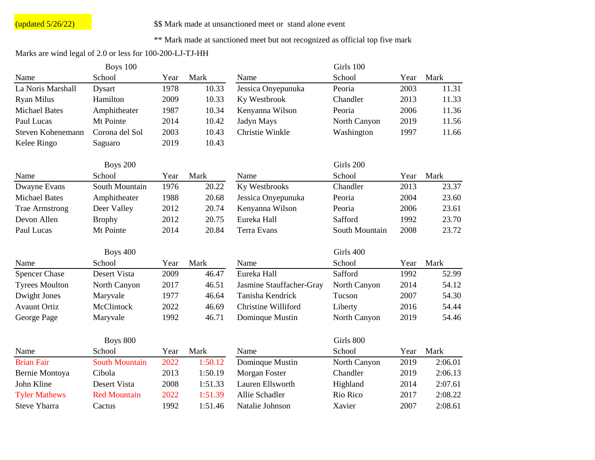## $\frac{1}{2}$  (updated  $\frac{5}{26/22}$ )  $\qquad$  \$\$ Mark made at unsanctioned meet or stand alone event

## \*\* Mark made at sanctioned meet but not recognized as official top five mark

## Marks are wind legal of 2.0 or less for 100-200-LJ-TJ-HH

|                       | Boys 100              |      |         |                          | Girls 100      |      |         |
|-----------------------|-----------------------|------|---------|--------------------------|----------------|------|---------|
| Name                  | School                | Year | Mark    | Name                     | School         | Year | Mark    |
| La Noris Marshall     | <b>Dysart</b>         | 1978 | 10.33   | Jessica Onyepunuka       | Peoria         | 2003 | 11.31   |
| Ryan Milus            | Hamilton              | 2009 | 10.33   | Ky Westbrook             | Chandler       | 2013 | 11.33   |
| <b>Michael Bates</b>  | Amphitheater          | 1987 | 10.34   | Kenyanna Wilson          | Peoria         | 2006 | 11.36   |
| Paul Lucas            | Mt Pointe             | 2014 | 10.42   | Jadyn Mays               | North Canyon   | 2019 | 11.56   |
| Steven Kohenemann     | Corona del Sol        | 2003 | 10.43   | Christie Winkle          | Washington     | 1997 | 11.66   |
| Kelee Ringo           | Saguaro               | 2019 | 10.43   |                          |                |      |         |
|                       | <b>Boys 200</b>       |      |         |                          | Girls 200      |      |         |
| Name                  | School                | Year | Mark    | Name                     | School         | Year | Mark    |
| Dwayne Evans          | South Mountain        | 1976 | 20.22   | Ky Westbrooks            | Chandler       | 2013 | 23.37   |
| <b>Michael Bates</b>  | Amphitheater          | 1988 | 20.68   | Jessica Onyepunuka       | Peoria         | 2004 | 23.60   |
| <b>Trae Armstrong</b> | Deer Valley           | 2012 | 20.74   | Kenyanna Wilson          | Peoria         | 2006 | 23.61   |
| Devon Allen           | <b>Brophy</b>         | 2012 | 20.75   | Eureka Hall              | Safford        | 1992 | 23.70   |
| Paul Lucas            | Mt Pointe             | 2014 | 20.84   | <b>Terra Evans</b>       | South Mountain | 2008 | 23.72   |
|                       | <b>Boys 400</b>       |      |         |                          | Girls 400      |      |         |
| Name                  | School                | Year | Mark    | Name                     | School         | Year | Mark    |
| <b>Spencer Chase</b>  | Desert Vista          | 2009 | 46.47   | Eureka Hall              | Safford        | 1992 | 52.99   |
| <b>Tyrees Moulton</b> | North Canyon          | 2017 | 46.51   | Jasmine Stauffacher-Gray | North Canyon   | 2014 | 54.12   |
| Dwight Jones          | Maryvale              | 1977 | 46.64   | Tanisha Kendrick         | Tucson         | 2007 | 54.30   |
| <b>Avaunt Ortiz</b>   | McClintock            | 2022 | 46.69   | Christine Williford      | Liberty        | 2016 | 54.44   |
| George Page           | Maryvale              | 1992 | 46.71   | Dominque Mustin          | North Canyon   | 2019 | 54.46   |
|                       |                       |      |         |                          | Girls 800      |      |         |
|                       | <b>Boys 800</b>       |      |         |                          |                |      |         |
| Name                  | School                | Year | Mark    | Name                     | School         | Year | Mark    |
| <b>Brian Fair</b>     | <b>South Mountain</b> | 2022 | 1:50.12 | Dominque Mustin          | North Canyon   | 2019 | 2:06.01 |
| Bernie Montoya        | Cibola                | 2013 | 1:50.19 | Morgan Foster            | Chandler       | 2019 | 2:06.13 |
| John Kline            | Desert Vista          | 2008 | 1:51.33 | Lauren Ellsworth         | Highland       | 2014 | 2:07.61 |
| <b>Tyler Mathews</b>  | <b>Red Mountain</b>   | 2022 | 1:51.39 | Allie Schadler           | Rio Rico       | 2017 | 2:08.22 |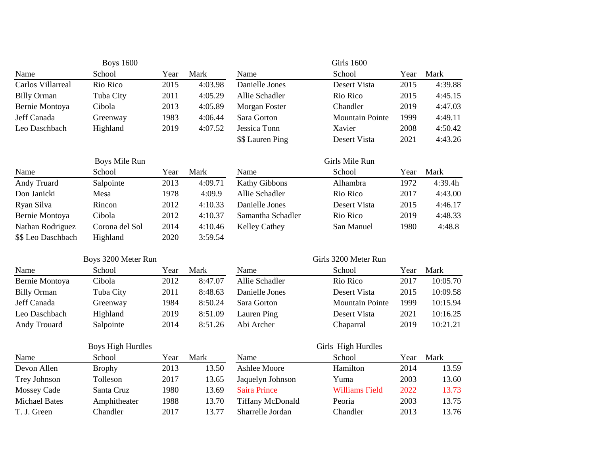|                      | <b>Boys 1600</b>         |      |         |                         | <b>Girls 1600</b>      |      |          |
|----------------------|--------------------------|------|---------|-------------------------|------------------------|------|----------|
| Name                 | School                   | Year | Mark    | Name                    | School                 | Year | Mark     |
| Carlos Villarreal    | Rio Rico                 | 2015 | 4:03.98 | Danielle Jones          | Desert Vista           | 2015 | 4:39.88  |
| <b>Billy Orman</b>   | Tuba City                | 2011 | 4:05.29 | Allie Schadler          | Rio Rico               | 2015 | 4:45.15  |
| Bernie Montoya       | Cibola                   | 2013 | 4:05.89 | Morgan Foster           | Chandler               | 2019 | 4:47.03  |
| Jeff Canada          | Greenway                 | 1983 | 4:06.44 | Sara Gorton             | <b>Mountain Pointe</b> | 1999 | 4:49.11  |
| Leo Daschbach        | Highland                 | 2019 | 4:07.52 | Jessica Tonn            | Xavier                 | 2008 | 4:50.42  |
|                      |                          |      |         | \$\$ Lauren Ping        | <b>Desert Vista</b>    | 2021 | 4:43.26  |
|                      | Boys Mile Run            |      |         |                         | Girls Mile Run         |      |          |
| Name                 | School                   | Year | Mark    | Name                    | School                 | Year | Mark     |
| <b>Andy Truard</b>   | Salpointe                | 2013 | 4:09.71 | Kathy Gibbons           | Alhambra               | 1972 | 4:39.4h  |
| Don Janicki          | Mesa                     | 1978 | 4:09.9  | Allie Schadler          | Rio Rico               | 2017 | 4:43.00  |
| Ryan Silva           | Rincon                   | 2012 | 4:10.33 | Danielle Jones          | Desert Vista           | 2015 | 4:46.17  |
| Bernie Montoya       | Cibola                   | 2012 | 4:10.37 | Samantha Schadler       | Rio Rico               | 2019 | 4:48.33  |
| Nathan Rodriguez     | Corona del Sol           | 2014 | 4:10.46 | <b>Kelley Cathey</b>    | San Manuel             | 1980 | 4:48.8   |
| \$\$ Leo Daschbach   | Highland                 | 2020 | 3:59.54 |                         |                        |      |          |
|                      | Boys 3200 Meter Run      |      |         |                         | Girls 3200 Meter Run   |      |          |
| Name                 | School                   | Year | Mark    | Name                    | School                 | Year | Mark     |
| Bernie Montoya       | Cibola                   | 2012 | 8:47.07 | Allie Schadler          | Rio Rico               | 2017 | 10:05.70 |
| <b>Billy Orman</b>   | Tuba City                | 2011 | 8:48.63 | Danielle Jones          | Desert Vista           | 2015 | 10:09.58 |
| Jeff Canada          | Greenway                 | 1984 | 8:50.24 | Sara Gorton             | <b>Mountain Pointe</b> | 1999 | 10:15.94 |
| Leo Daschbach        | Highland                 | 2019 | 8:51.09 | Lauren Ping             | Desert Vista           | 2021 | 10:16.25 |
| Andy Trouard         | Salpointe                | 2014 | 8:51.26 | Abi Archer              | Chaparral              | 2019 | 10:21.21 |
|                      | <b>Boys High Hurdles</b> |      |         |                         | Girls High Hurdles     |      |          |
| Name                 | School                   | Year | Mark    | Name                    | School                 | Year | Mark     |
| Devon Allen          | <b>Brophy</b>            | 2013 | 13.50   | <b>Ashlee Moore</b>     | Hamilton               | 2014 | 13.59    |
| Trey Johnson         | Tolleson                 | 2017 | 13.65   | Jaquelyn Johnson        | Yuma                   | 2003 | 13.60    |
| <b>Mossey Cade</b>   | Santa Cruz               | 1980 | 13.69   | <b>Saira Prince</b>     | <b>Williams Field</b>  | 2022 | 13.73    |
| <b>Michael Bates</b> | Amphitheater             | 1988 | 13.70   | <b>Tiffany McDonald</b> | Peoria                 | 2003 | 13.75    |
| T. J. Green          | Chandler                 | 2017 | 13.77   | Sharrelle Jordan        | Chandler               | 2013 | 13.76    |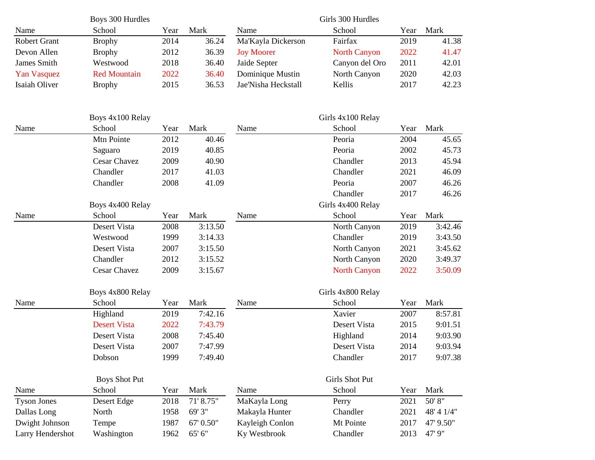|                     | Boys 300 Hurdles    |      |       |                     | Girls 300 Hurdles   |      |       |
|---------------------|---------------------|------|-------|---------------------|---------------------|------|-------|
| Name                | School              | Year | Mark  | Name                | School              | Year | Mark  |
| <b>Robert Grant</b> | <b>Brophy</b>       | 2014 | 36.24 | Ma'Kayla Dickerson  | Fairfax             | 2019 | 41.38 |
| Devon Allen         | <b>Brophy</b>       | 2012 | 36.39 | <b>Joy Moorer</b>   | <b>North Canyon</b> | 2022 | 41.47 |
| James Smith         | Westwood            | 2018 | 36.40 | Jaide Septer        | Canyon del Oro      | 2011 | 42.01 |
| <b>Yan Vasquez</b>  | <b>Red Mountain</b> | 2022 | 36.40 | Dominique Mustin    | North Canyon        | 2020 | 42.03 |
| Isaiah Oliver       | <b>Brophy</b>       | 2015 | 36.53 | Jae'Nisha Heckstall | Kellis              | 2017 | 42.23 |

|                    | Boys 4x100 Relay     |      |           |                 | Girls 4x100 Relay   |      |             |
|--------------------|----------------------|------|-----------|-----------------|---------------------|------|-------------|
| Name               | School               | Year | Mark      | Name            | School              | Year | Mark        |
|                    | Mtn Pointe           | 2012 | 40.46     |                 | Peoria              | 2004 | 45.65       |
|                    | Saguaro              | 2019 | 40.85     |                 | Peoria              | 2002 | 45.73       |
|                    | <b>Cesar Chavez</b>  | 2009 | 40.90     |                 | Chandler            | 2013 | 45.94       |
|                    | Chandler             | 2017 | 41.03     |                 | Chandler            | 2021 | 46.09       |
|                    | Chandler             | 2008 | 41.09     |                 | Peoria              | 2007 | 46.26       |
|                    |                      |      |           |                 | Chandler            | 2017 | 46.26       |
|                    | Boys 4x400 Relay     |      |           |                 | Girls 4x400 Relay   |      |             |
| Name               | School               | Year | Mark      | Name            | School              | Year | Mark        |
|                    | Desert Vista         | 2008 | 3:13.50   |                 | North Canyon        | 2019 | 3:42.46     |
|                    | Westwood             | 1999 | 3:14.33   |                 | Chandler            | 2019 | 3:43.50     |
|                    | Desert Vista         | 2007 | 3:15.50   |                 | North Canyon        | 2021 | 3:45.62     |
|                    | Chandler             | 2012 | 3:15.52   |                 | North Canyon        | 2020 | 3:49.37     |
|                    | Cesar Chavez         | 2009 | 3:15.67   |                 | <b>North Canyon</b> | 2022 | 3:50.09     |
|                    | Boys 4x800 Relay     |      |           |                 | Girls 4x800 Relay   |      |             |
| Name               | School               | Year | Mark      | Name            | School              | Year | Mark        |
|                    | Highland             | 2019 | 7:42.16   |                 | Xavier              | 2007 | 8:57.81     |
|                    | <b>Desert Vista</b>  | 2022 | 7:43.79   |                 | Desert Vista        | 2015 | 9:01.51     |
|                    | <b>Desert Vista</b>  | 2008 | 7:45.40   |                 | Highland            | 2014 | 9:03.90     |
|                    | Desert Vista         | 2007 | 7:47.99   |                 | Desert Vista        | 2014 | 9:03.94     |
|                    | Dobson               | 1999 | 7:49.40   |                 | Chandler            | 2017 | 9:07.38     |
|                    | <b>Boys Shot Put</b> |      |           |                 | Girls Shot Put      |      |             |
| Name               | School               | Year | Mark      | Name            | School              | Year | Mark        |
| <b>Tyson Jones</b> | Desert Edge          | 2018 | 71' 8.75" | MaKayla Long    | Perry               | 2021 | 50'8"       |
| Dallas Long        | North                | 1958 | 69' 3"    | Makayla Hunter  | Chandler            | 2021 | 48' 4' 1/4" |
| Dwight Johnson     | Tempe                | 1987 | 67' 0.50" | Kayleigh Conlon | Mt Pointe           | 2017 | 47' 9.50"   |
| Larry Hendershot   | Washington           | 1962 | 65' 6"    | Ky Westbrook    | Chandler            | 2013 | 47' 9"      |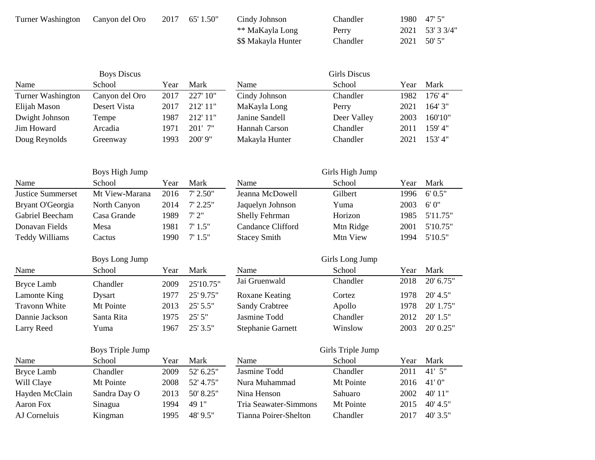| Turner Washington | Canyon del Oro | 2017 | 65' 1.50" | Cindy Johnson       | Chandler | 1980 47'5"      |
|-------------------|----------------|------|-----------|---------------------|----------|-----------------|
|                   |                |      |           | ** MaKayla Long     | Perry    | 2021 53' 3 3/4" |
|                   |                |      |           | \$\$ Makayla Hunter | Chandler | 2021 50'5"      |

|                   | <b>Boys Discus</b> |      |           |                | Girls Discus |      |         |
|-------------------|--------------------|------|-----------|----------------|--------------|------|---------|
| Name              | School             | Year | Mark      | Name           | School       | Year | Mark    |
| Turner Washington | Canyon del Oro     | 2017 | 227' 10"  | Cindy Johnson  | Chandler     | 1982 | 176'4"  |
| Elijah Mason      | Desert Vista       | 2017 | 212'11''  | MaKayla Long   | Perry        | 2021 | 164'3'' |
| Dwight Johnson    | Tempe              | 1987 | 212'11''  | Janine Sandell | Deer Valley  | 2003 | 160'10" |
| Jim Howard        | Arcadia            | 1971 | $201'$ 7" | Hannah Carson  | Chandler     | 2011 | 159'4"  |
| Doug Reynolds     | Greenway           | 1993 | $200'$ 9" | Makayla Hunter | Chandler     | 2021 | 153'4"  |

|                          | Boys High Jump |      |            |                       | Girls High Jump |      |          |
|--------------------------|----------------|------|------------|-----------------------|-----------------|------|----------|
| Name                     | School         | Year | Mark       | Name                  | School          | Year | Mark     |
| <b>Justice Summerset</b> | Mt View-Marana | 2016 | $7'$ 2.50" | Jeanna McDowell       | Gilbert         | 1996 | 6'0.5"   |
| Bryant O'Georgia         | North Canyon   | 2014 | 7'2.25''   | Jaquelyn Johnson      | Yuma            | 2003 | 6'0''    |
| Gabriel Beecham          | Casa Grande    | 1989 | 7'2''      | <b>Shelly Fehrman</b> | Horizon         | 1985 | 5'11.75" |
| Donavan Fields           | Mesa           | 1981 | 7'1.5"     | Candance Clifford     | Mtn Ridge       | 2001 | 5'10.75" |
| Teddy Williams           | Cactus         | 1990 | 7'1.5"     | <b>Stacey Smith</b>   | Mtn View        | 1994 | 5'10.5"  |

|                      | Boys Long Jump |      |            |                          | Girls Long Jump |      |             |
|----------------------|----------------|------|------------|--------------------------|-----------------|------|-------------|
| Name                 | School         | Year | Mark       | Name                     | School          | Year | Mark        |
| Bryce Lamb           | Chandler       | 2009 | 25'10.75"  | Jai Gruenwald            | Chandler        | 2018 | $20'$ 6.75" |
| Lamonte King         | Dysart         | 1977 | 25' 9.75"  | Roxane Keating           | Cortez          | 1978 | $20'$ 4.5"  |
| <b>Travonn White</b> | Mt Pointe      | 2013 | $25'$ 5.5" | <b>Sandy Crabtree</b>    | Apollo          | 1978 | 20' 1.75"   |
| Dannie Jackson       | Santa Rita     | 1975 | 25'5''     | Jasmine Todd             | Chandler        | 2012 | $20'$ 1.5"  |
| Larry Reed           | Yuma           | 1967 | 25'3.5''   | <b>Stephanie Garnett</b> | Winslow         | 2003 | 20' 0.25"   |

| Boys Triple Jump |              |      |           | Girls Triple Jump     |           |      |          |  |
|------------------|--------------|------|-----------|-----------------------|-----------|------|----------|--|
| Name             | School       | Year | Mark      | Name                  | School    | Year | Mark     |  |
| Bryce Lamb       | Chandler     | 2009 | 52' 6.25" | Jasmine Todd          | Chandler  | 2011 | $41'$ 5" |  |
| Will Claye       | Mt Pointe    | 2008 | 52' 4.75" | Nura Muhammad         | Mt Pointe | 2016 | 41'0"    |  |
| Hayden McClain   | Sandra Day O | 2013 | 50' 8.25" | Nina Henson           | Sahuaro   | 2002 | 40'11''  |  |
| Aaron Fox        | Sinagua      | 1994 | 49 1"     | Tria Seawater-Simmons | Mt Pointe | 2015 | 40' 4.5" |  |
| AJ Corneluis     | Kingman      | 1995 | 48' 9.5"  | Tianna Poirer-Shelton | Chandler  | 2017 | 40'3.5"  |  |